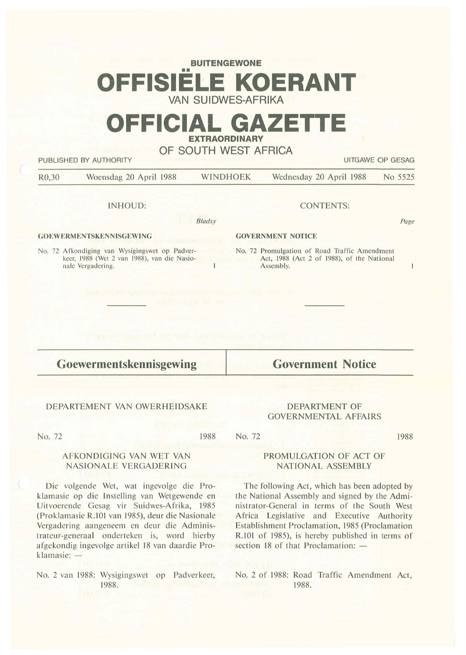# **BUITENGEWONE**  •• **OFFISIELE KOERANT VAN SUIDWES-AFRIKA**

# **OFFICIAL GAZETT EXTRAORDINARY**

**OF SOUTH WEST AFRICA** 

**PUBLISHED BY AUTHORITY AUTHORITY CONSUMING THE CONSUMING OF GESAGREED BY AUTHORITY** 

Page

 $\overline{1}$ 

R0,30 Woensdag 20 April 1988 WINDHOEK Wednesday 20 April 1988 No 5525

## INHOUD:

*Bladsy* 

## **GOEWERMENTSKENNISGEWING**

No. 72 Afkondiging van Wysigingswet op Padverkeer, 1988 (Wet 2 van 1988), van die Nasionale Vergadering.

## CONTENTS:

## **GOVERNMENT NOTICE**

No. 72 Promulgation of Road Traffic Amendment Act, 1988 (Act 2 of 1988), of the National Assembly.

**Goewermen tskennisgewing** 

# **Government Notice**

DEPARTMENT OF GOVERNMENTAL AFFAIRS

# DEPARTEMENT VAN OWERHEIDSAKE

AFKONDIGING VAN WET VAN NASIONALE VERGADERING

Die volgende Wet, wat ingevolge die Proklamasie op die Instelling van Wetgewende en Uitvoerende Gesag vir Suidwes-Afrika, 1985 (Proklamasie R.101 van 1985), deur die Nasionale Vergadering aangeneem en deur die Administrateur-generaal onderteken is, word hierby afgekondig ingevolge artikel 18 van daardie Pro-

No. 72

klamasie: -

#### 1988

1988

# PROMULGATION OF ACT OF **NATIONAL ASSEMBLY**

The following Act, which has been adopted by the National Assembly and signed by the Administrator-General in terms of the South West Africa Legislative and Executive Authority Establishment Proclamation, 1985 (Proclamation R.101 of 1985), is hereby published in terms of section 18 of that Proclamation: -

No. 2 van 1988: Wysigingswet op Padverkeer, 1988.

No. 2 of 1988: Road Traffic Amendment Act, 1988.

No. 72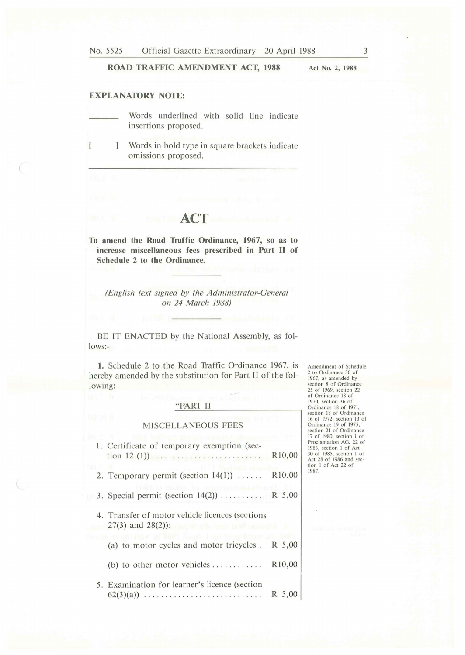# **ROAD TRAFFIC AMENDMENT ACT, 1988**

**Act No. 2, 1988** 

# **EXPLANATORY NOTE:**

- Words underlined with solid line indicate insertions proposed.
- $\mathbf{I}$  $\mathbf{I}$ Words in bold type in square brackets indicate omissions proposed.

# **ACT**

**To amend the Road Traffic Ordinance, 1967, so as to increase miscellaneous fees prescribed in Part** II of **Schedule 2 to the Ordinance.** 

*(English text signed by the Administrator-General on 24 March 1988)* 

BE IT ENACTED by the National Assembly, as follows:-

**1.** Schedule 2 to the Road Traffic Ordinance 1967, is hereby amended by the substitution for Part II of the following:

# "PART II

#### MISCELLANEOUS FEES

| 1. Certificate of temporary exemption (sec-                                             | R <sub>10</sub> ,00 |  |
|-----------------------------------------------------------------------------------------|---------------------|--|
| 2. Temporary permit (section $14(1)$ )                                                  | R <sub>10</sub> ,00 |  |
| undakumusha kaban Khai<br>3. Special permit (section $14(2)$ )  R 5,00                  |                     |  |
| 4. Transfer of motor vehicle licences (sections<br>$27(3)$ and $28(2)$ : $\blacksquare$ |                     |  |
| a de BWWT Thomp. ( van seconditor<br>(a) to motor cycles and motor tricycles.           | R 5,00              |  |
| (b) to other motor vehicles $\dots\dots\dots\dots$                                      | R <sub>10</sub> ,00 |  |
| 5. Examination for learner's licence (section<br>$62(3)(a))$                            | R 5,00              |  |

Amendment of Schedule 2 to Ordinance 30 of 1967, as amended by section 8 of Ordinance<br>25 of 1969, section 22<br>of Ordinance 18 of 1970, section 36 of<br>Ordinance 18 of 1971,<br>section 18 of Ordinance 16 of 1972, sectio n 13 of Ordin ance 19 of 1975, sectio n 21 of Ordinance 17 of 1980, section 1 of<br>Proclamation AG. 22 of<br>1983, section 1 of Act 30 of 1985, section 1 of<br>Act 28 of 1986 and sec-<br>tion 1 of Act 22 of 1987.